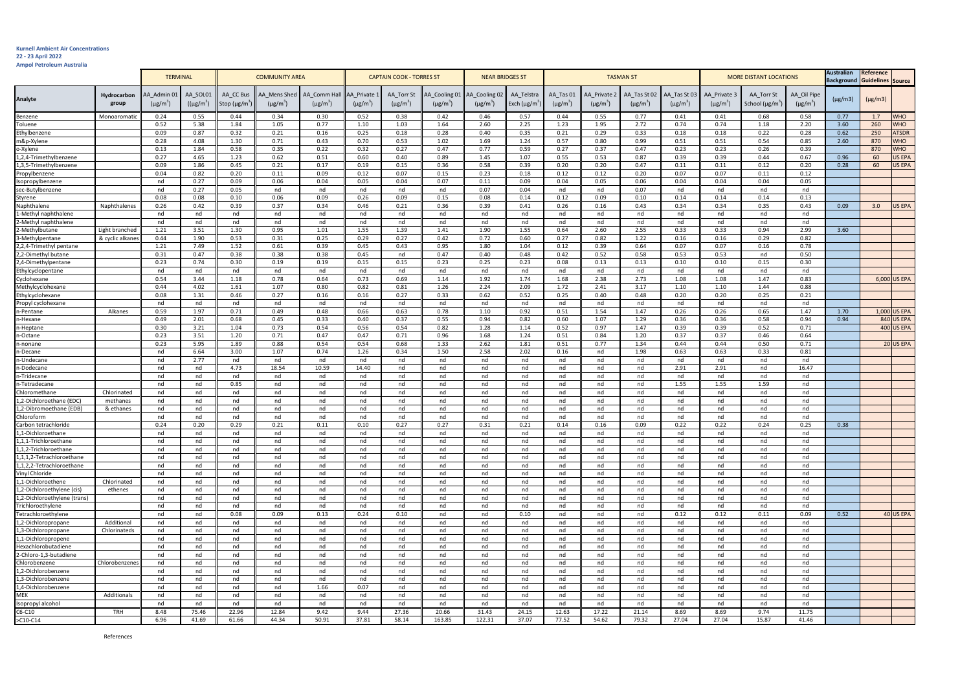## **Kurnell Ambient Air Concentrations**

**22 - 23 April 2022 Ampol Petroleum Australia**

|                                                     | <b>TERMINAL</b>       |                                          | <b>COMMUNITY AREA</b>       |                                              |                              | <b>CAPTAIN COOK - TORRES ST</b>          |                                          |                             | <b>NEAR BRIDGES ST</b>         |                                            | <b>TASMAN ST</b>                 |                            |                                           |                               | <b>MORE DISTANT LOCATIONS</b> |                               |                                                 | <b>Australian</b><br>Reference<br>Guidelines Source<br><b>Background</b> |              |              |               |
|-----------------------------------------------------|-----------------------|------------------------------------------|-----------------------------|----------------------------------------------|------------------------------|------------------------------------------|------------------------------------------|-----------------------------|--------------------------------|--------------------------------------------|----------------------------------|----------------------------|-------------------------------------------|-------------------------------|-------------------------------|-------------------------------|-------------------------------------------------|--------------------------------------------------------------------------|--------------|--------------|---------------|
| Analyte                                             | Hydrocarbon<br>group  | AA Admin 01<br>$(\mu$ g/m <sup>3</sup> ) | AA SOL01<br>$((\mu g/m^3))$ | AA CC Bus<br>Stop ( $\mu$ g/m <sup>3</sup> ) | A Mens Shed<br>$(\mu g/m^3)$ | AA Comm Hal<br>$(\mu$ g/m <sup>3</sup> ) | AA Private:<br>$(\mu$ g/m <sup>3</sup> ) | AA Torr St<br>$(\mu g/m^3)$ | AA Cooling 01<br>$(\mu g/m^3)$ | AA Cooling 02<br>$(\mu$ g/m <sup>3</sup> ) | AA Telstra<br>Exch $(\mu g/m^3)$ | AA_Tas 01<br>$(\mu g/m^3)$ | AA Private 2<br>$(\mu$ g/m <sup>3</sup> ) | AA Tas St 02<br>$(\mu g/m^3)$ | AA Tas St 03<br>$(\mu g/m^3)$ | AA Private 3<br>$(\mu g/m^3)$ | AA Torr St<br>School ( $\mu$ g/m <sup>3</sup> ) | AA_Oil Pipe<br>$(\mu g/m^3)$                                             | $(\mu g/m3)$ | $(\mu g/m3)$ |               |
| Benzene                                             | Monoaromatio          | 0.24                                     | 0.55                        | 0.44                                         | 0.34                         | 0.30                                     | 0.52                                     | 0.38                        | 0.42                           | 0.46                                       | 0.57                             | 0.44                       | 0.55                                      | 0.77                          | 0.41                          | 0.41                          | 0.68                                            | 0.58                                                                     | 0.77         | 1.7          | <b>WHO</b>    |
| Toluene                                             |                       | 0.52                                     | 5.38                        | 1.84                                         | 1.05                         | 0.77                                     | 1.10                                     | 1.03                        | 1.64                           | 2.60                                       | 2.25                             | 1.23                       | 1.95                                      | 2.72                          | 0.74                          | 0.74                          | 1.18                                            | 2.20                                                                     | 3.60         | 260          | <b>WHO</b>    |
| Ethylbenzene                                        |                       | 0.09                                     | 0.87                        | 0.32                                         | 0.21                         | 0.16                                     | 0.25                                     | 0.18                        | 0.28                           | 0.40                                       | 0.35                             | 0.21                       | 0.29                                      | 0.33                          | 0.18                          | 0.18                          | 0.22                                            | 0.28                                                                     | 0.62         | 250          | <b>ATSDR</b>  |
| m&p-Xylene                                          |                       | 0.28                                     | 4.08                        | 1.30                                         | 0.71                         | 0.43                                     | 0.70                                     | 0.53                        | 1.02                           | 1.69                                       | 1.24                             | 0.57                       | 0.80                                      | 0.99                          | 0.51                          | 0.51                          | 0.54                                            | 0.85                                                                     | 2.60         | 870          | <b>WHO</b>    |
| o-Xylene                                            |                       | 0.13                                     | 1.84                        | 0.58                                         | 0.35                         | 0.22                                     | 0.32                                     | 0.27                        | 0.47                           | 0.77                                       | 0.59                             | 0.27                       | 0.37                                      | 0.47                          | 0.23                          | 0.23                          | 0.26                                            | 0.39                                                                     |              | 870          | <b>WHO</b>    |
| 1,2,4-Trimethylbenzene                              |                       | 0.27                                     | 4.65                        | 1.23                                         | 0.62                         | 0.51                                     | 0.60                                     | 0.40                        | 0.89                           | 1.45                                       | 1.07                             | 0.55                       | 0.53                                      | 0.87                          | 0.39                          | 0.39                          | 0.44                                            | 0.67                                                                     | 0.96         | 60           | <b>US EPA</b> |
| 1,3,5-Trimethylbenzene                              |                       | 0.09                                     | 1.86                        | 0.45                                         | 0.21                         | 0.17                                     | 0.19                                     | 0.15                        | 0.36                           | 0.58                                       | 0.39                             | 0.20                       | 0.20                                      | 0.47                          | 0.11                          | 0.11                          | 0.12                                            | 0.20                                                                     | 0.28         | 60           | <b>US EPA</b> |
| Propylbenzene                                       |                       | 0.04                                     | 0.82                        | 0.20                                         | 0.11                         | 0.09                                     | 0.12                                     | 0.07                        | 0.15                           | 0.23                                       | 0.18                             | 0.12                       | 0.12                                      | 0.20                          | 0.07                          | 0.07                          | 0.11                                            | 0.12                                                                     |              |              |               |
| Isopropylbenzene<br>sec-Butylbenzene                |                       | nd<br>nd                                 | 0.27<br>0.27                | 0.09<br>0.05                                 | 0.06<br>nd                   | 0.04<br>nd                               | 0.05<br>nd                               | 0.04<br>nd                  | 0.07<br>nd                     | 0.11<br>0.07                               | 0.09<br>0.04                     | 0.04<br>nd                 | 0.05<br>nd                                | 0.06<br>0.07                  | 0.04<br>nd                    | 0.04<br>nd                    | 0.04<br>nd                                      | 0.05<br>nd                                                               |              |              |               |
| Styrene                                             |                       | 0.08                                     | 0.08                        | 0.10                                         | 0.06                         | 0.09                                     | 0.26                                     | 0.09                        | 0.15                           | 0.08                                       | 0.14                             | 0.12                       | 0.09                                      | 0.10                          | 0.14                          | 0.14                          | 0.14                                            | 0.13                                                                     |              |              |               |
| Naphthalene                                         | Naphthalenes          | 0.26                                     | 0.42                        | 0.39                                         | 0.37                         | 0.34                                     | 0.46                                     | 0.21                        | 0.36                           | 0.39                                       | 0.41                             | 0.26                       | 0.16                                      | 0.43                          | 0.34                          | 0.34                          | 0.35                                            | 0.43                                                                     | 0.09         | 3.0          | <b>US EPA</b> |
| 1-Methyl naphthalene                                |                       | nd                                       | nd                          | nd                                           | nd                           | nd                                       | nd                                       | nd                          | nd                             | nd                                         | nd                               | nd                         | nd                                        | nd                            | nd                            | nd                            | nd                                              | nd                                                                       |              |              |               |
| 2-Methyl naphthalene                                |                       | nd                                       | nd                          | nd                                           | nd                           | nd                                       | nd                                       | nd                          | nd                             | nd                                         | nd                               | nd                         | nd                                        | nd                            | nd                            | nd                            | nd                                              | nd                                                                       |              |              |               |
| 2-Methylbutane                                      | Light branched        | 1.21                                     | 3.51                        | 1.30                                         | 0.95                         | 1.01                                     | 1.55                                     | 1.39                        | 1.41                           | 1.90                                       | 1.55                             | 0.64                       | 2.60                                      | 2.55                          | 0.33                          | 0.33                          | 0.94                                            | 2.99                                                                     | 3.60         |              |               |
| 3-Methylpentane                                     | & cyclic alkane       | 0.44                                     | 1.90                        | 0.53                                         | 0.31                         | 0.25                                     | 0.29                                     | 0.27                        | 0.42                           | 0.72                                       | 0.60                             | 0.27                       | 0.82                                      | 1.22                          | 0.16                          | 0.16                          | 0.29                                            | 0.82                                                                     |              |              |               |
| 2,2,4-Trimethyl pentane                             |                       | 1.21                                     | 7.49                        | 1.52                                         | 0.61                         | 0.39                                     | 0.45                                     | 0.43                        | 0.95                           | 1.80                                       | 1.04                             | 0.12                       | 0.39                                      | 0.64                          | 0.07                          | 0.07                          | 0.16                                            | 0.78                                                                     |              |              |               |
| 2,2-Dimethyl butane                                 |                       | 0.31                                     | 0.47                        | 0.38                                         | 0.38                         | 0.38                                     | 0.45                                     | nd                          | 0.47                           | 0.40                                       | 0.48                             | 0.42                       | 0.52                                      | 0.58                          | 0.53                          | 0.53                          | nd                                              | 0.50                                                                     |              |              |               |
| 2,4-Dimethylpentane                                 |                       | 0.23                                     | 0.74                        | 0.30                                         | 0.19                         | 0.19                                     | 0.15                                     | 0.15                        | 0.23                           | 0.25                                       | 0.23                             | 0.08                       | 0.13                                      | 0.13                          | 0.10                          | 0.10                          | 0.15                                            | 0.30                                                                     |              |              |               |
| Ethylcyclopentane                                   |                       | nd                                       | nd                          | nd                                           | nd                           | nd                                       | nd                                       | nd                          | nd                             | nd                                         | nd                               | nd                         | nd                                        | nd                            | nd                            | nd                            | nd                                              | nd                                                                       |              |              |               |
| Cyclohexane                                         |                       | 0.54                                     | 3.44                        | 1.18                                         | 0.78                         | 0.64                                     | 0.73                                     | 0.69                        | 1.14                           | 1.92                                       | 1.74                             | 1.68                       | 2.38                                      | 2.73                          | 1.08                          | 1.08                          | 1.47                                            | 0.83                                                                     |              |              | 6,000 US EPA  |
| Methylcyclohexane                                   |                       | 0.44                                     | 4.02                        | 1.61                                         | 1.07                         | 0.80                                     | 0.82                                     | 0.81                        | 1.26                           | 2.24                                       | 2.09                             | 1.72                       | 2.41                                      | 3.17                          | 1.10                          | 1.10                          | 1.44                                            | 0.88                                                                     |              |              |               |
| Ethylcyclohexane                                    |                       | 0.08<br>nd                               | 1.31<br>nd                  | 0.46<br>nd                                   | 0.27<br>nd                   | 0.16<br>nd                               | 0.16<br>nd                               | 0.27<br>nd                  | 0.33                           | 0.62<br>nd                                 | 0.52<br>nd                       | 0.25<br>nd                 | 0.40<br>nd                                | 0.48<br>nd                    | 0.20<br>nd                    | 0.20<br>nd                    | 0.25<br>nd                                      | 0.21<br>nd                                                               |              |              |               |
| Propyl cyclohexane<br>n-Pentane                     | Alkanes               | 0.59                                     | 1.97                        | 0.71                                         | 0.49                         | 0.48                                     | 0.66                                     | 0.63                        | nd<br>0.78                     | 1.10                                       | 0.92                             | 0.51                       | 1.54                                      | 1.47                          | 0.26                          | 0.26                          | 0.65                                            | 1.47                                                                     | 1.70         |              | 1,000 US EPA  |
| n-Hexane                                            |                       | 0.49                                     | 2.01                        | 0.68                                         | 0.45                         | 0.33                                     | 0.40                                     | 0.37                        | 0.55                           | 0.94                                       | 0.82                             | 0.60                       | 1.07                                      | 1.29                          | 0.36                          | 0.36                          | 0.58                                            | 0.94                                                                     | 0.94         |              | 840 US EPA    |
| n-Heptane                                           |                       | 0.30                                     | 3.21                        | 1.04                                         | 0.73                         | 0.54                                     | 0.56                                     | 0.54                        | 0.82                           | 1.28                                       | 1.14                             | 0.52                       | 0.97                                      | 1.47                          | 0.39                          | 0.39                          | 0.52                                            | 0.71                                                                     |              |              | 400 US EPA    |
| n-Octane                                            |                       | 0.23                                     | 3.51                        | 1.20                                         | 0.71                         | 0.47                                     | 0.47                                     | 0.71                        | 0.96                           | 1.68                                       | 1.24                             | 0.51                       | 0.84                                      | 1.20                          | 0.37                          | 0.37                          | 0.46                                            | 0.64                                                                     |              |              |               |
| n-nonane                                            |                       | 0.23                                     | 5.95                        | 1.89                                         | 0.88                         | 0.54                                     | 0.54                                     | 0.68                        | 1.33                           | 2.62                                       | 1.81                             | 0.51                       | 0.77                                      | 1.34                          | 0.44                          | 0.44                          | 0.50                                            | 0.71                                                                     |              |              | 20 US EPA     |
| n-Decane                                            |                       | nd                                       | 6.64                        | 3.00                                         | 1.07                         | 0.74                                     | 1.26                                     | 0.34                        | 1.50                           | 2.58                                       | 2.02                             | 0.16                       | nd                                        | 1.98                          | 0.63                          | 0.63                          | 0.33                                            | 0.81                                                                     |              |              |               |
| n-Undecane                                          |                       | nd                                       | 2.77                        | nd                                           | nd                           | nd                                       | nd                                       | nd                          | nd                             | nd                                         | nd                               | nd                         | nd                                        | nd                            | nd                            | nd                            | nd                                              | nd                                                                       |              |              |               |
| n-Dodecane                                          |                       | nd                                       | nd                          | 4.73                                         | 18.54                        | 10.59                                    | 14.40                                    | nd                          | nd                             | nd                                         | nd                               | nd                         | nd                                        | nd                            | 2.91                          | 2.91                          | nd                                              | 16.47                                                                    |              |              |               |
| n-Tridecane                                         |                       | nd                                       | nd                          | nd                                           | nd                           | nd                                       | nd                                       | nd                          | nd                             | nd                                         | nd                               | nd                         | nd                                        | nd                            | nd                            | nd                            | nd                                              | nd                                                                       |              |              |               |
| n-Tetradecane                                       |                       | nd                                       | nd                          | 0.85                                         | nd                           | nd                                       | nd                                       | nd                          | nd                             | nd                                         | nd                               | nd                         | nd                                        | nd                            | 1.55                          | 1.55                          | 1.59                                            | nd                                                                       |              |              |               |
| Chloromethane                                       | Chlorinated           | nd                                       | nd                          | nd                                           | nd                           | nd                                       | nd                                       | nd                          | nd                             | nd                                         | nd                               | nd                         | nd                                        | nd                            | nd                            | nd                            | nd                                              | nd                                                                       |              |              |               |
| 1,2-Dichloroethane (EDC)<br>1.2-Dibromoethane (EDB) | methanes<br>& ethanes | nd<br>nd                                 | nd<br>nd                    | nd<br>nd                                     | nd<br>nd                     | nd<br>nd                                 | nd<br>nd                                 | nd<br>nd                    | nd<br>nd                       | nd<br>nd                                   | nd<br>nd                         | nd<br>nd                   | nd<br>nd                                  | nd<br>nd                      | nd<br>nd                      | nd<br>nd                      | nd<br>nd                                        | nd<br>nd                                                                 |              |              |               |
| Chloroform                                          |                       | nd                                       | nd                          | nd                                           | nd                           | nd                                       | nd                                       | nd                          | nd                             | nd                                         | nd                               | nd                         | nd                                        | nd                            | nd                            | nd                            | nd                                              | nd                                                                       |              |              |               |
| Carbon tetrachloride                                |                       | 0.24                                     | 0.20                        | 0.29                                         | 0.21                         | 0.11                                     | 0.10                                     | 0.27                        | 0.27                           | 0.31                                       | 0.21                             | 0.14                       | 0.16                                      | 0.09                          | 0.22                          | 0.22                          | 0.24                                            | 0.25                                                                     | 0.38         |              |               |
| 1,1-Dichloroethane                                  |                       | nd                                       | nd                          | nd                                           | nd                           | nd                                       | nd                                       | nd                          | nd                             | nd                                         | nd                               | nd                         | nd                                        | nd                            | nd                            | nd                            | nd                                              | nd                                                                       |              |              |               |
| 1,1,1-Trichloroethane                               |                       | nd                                       | nd                          | nd                                           | nd                           | nd                                       | nd                                       | nd                          | nd                             | nd                                         | nd                               | nd                         | nd                                        | nd                            | nd                            | nd                            | nd                                              | nd                                                                       |              |              |               |
| 1,1,2-Trichloroethane                               |                       | nd                                       | nd                          | nd                                           | nd                           | nd                                       | nd                                       | nd                          | nd                             | nd                                         | nd                               | nd                         | nd                                        | nd                            | nd                            | nd                            | nd                                              | nd                                                                       |              |              |               |
| 1,1,1,2-Tetrachloroethane                           |                       | nd                                       | nd                          | nd                                           | nd                           | nd                                       | nd                                       | nd                          | nd                             | nd                                         | nd                               | nd                         | nd                                        | nd                            | nd                            | nd                            | nd                                              | nd                                                                       |              |              |               |
| 1,1,2,2-Tetrachloroethane                           |                       | nd                                       | nd                          | nd                                           | nd                           | nd                                       | nd                                       | nd                          | nd                             | nd                                         | nd                               | nd                         | nd                                        | nd                            | nd                            | nd                            | nd                                              | nd                                                                       |              |              |               |
| Vinyl Chloride                                      |                       | nd                                       | nd                          | nd                                           | nd                           | nd                                       | nd                                       | nd                          | nd                             | nd                                         | nd                               | nd                         | nd                                        | nd                            | nd                            | nd                            | nd                                              | nd                                                                       |              |              |               |
| 1,1-Dichloroethene                                  | Chlorinated           | nd                                       | nd                          | nd                                           | nd                           | nd                                       | nd                                       | nd                          | nd                             | nd                                         | nd                               | nd                         | nd                                        | nd                            | nd                            | nd                            | nd                                              | nd                                                                       |              |              |               |
| 1,2-Dichloroethylene (cis)                          | ethenes               | nd                                       | nd                          | nd                                           | nd                           | nd                                       | nd                                       | nd                          | nd                             | nd                                         | nd                               | nd                         | nd                                        | nd                            | nd                            | nd                            | nd                                              | nd                                                                       |              |              |               |
| 1,2-Dichloroethylene (trans)                        |                       | nd                                       | nd                          | nd                                           | nd                           | nd                                       | nd                                       | nd                          | nd                             | nd                                         | nd                               | nd                         | nd                                        | nd                            | nd                            | nd                            | nd                                              | nd                                                                       |              |              |               |
| Trichloroethylene                                   |                       | nd<br>nd                                 | nd<br>nd                    | nd<br>0.08                                   | nd<br>0.09                   | nd<br>0.13                               | nd<br>0.24                               | nd<br>0.10                  | nd                             | nd                                         | nd<br>0.10                       | nd                         | nd<br>nd                                  | nd                            | nd<br>0.12                    | nd<br>0.12                    | nd<br>0.11                                      | nd<br>0.09                                                               | 0.52         |              | 40 US EPA     |
| Tetrachloroethylene<br>1,2-Dichloropropane          | Additional            | nd                                       | nd                          | nd                                           | nd                           | nd                                       | nd                                       | nd                          | nd<br>nd                       | nd<br>nd                                   | nd                               | nd<br>nd                   | nd                                        | nd<br>nd                      | nd                            | nd                            | nd                                              | nd                                                                       |              |              |               |
| 1,3-Dichloropropane                                 | Chlorinateds          | nd                                       | nd                          | nd                                           | nd                           | nd                                       | nd                                       | nd                          | nd                             | nd                                         | nd                               | nd                         | nd                                        | nd                            | nd                            | nd                            | nd                                              | nd                                                                       |              |              |               |
| 1,1-Dichloropropene                                 |                       | nd                                       | nd                          | nd                                           | nd                           | nd                                       | nd                                       | nd                          | nd                             | nd                                         | nd                               | nd                         | nd                                        | nd                            | nd                            | nd                            | nd                                              | nd                                                                       |              |              |               |
| Hexachlorobutadiene                                 |                       | nd                                       | nd                          | nd                                           | nd                           | nd                                       | nd                                       | nd                          | nd                             | nd                                         | nd                               | nd                         | nd                                        | nd                            | nd                            | nd                            | nd                                              | nd                                                                       |              |              |               |
| 2-Chloro-1,3-butadiene                              |                       | nd                                       | nd                          | nd                                           | nd                           | nd                                       | nd                                       | nd                          | nd                             | nd                                         | nd                               | nd                         | nd                                        | nd                            | nd                            | nd                            | nd                                              | nd                                                                       |              |              |               |
| Chlorobenzene                                       | Chlorobenzenes        | nd                                       | nd                          | nd                                           | nd                           | nd                                       | nd                                       | nd                          | nd                             | nd                                         | nd                               | nd                         | nd                                        | nd                            | nd                            | nd                            | nd                                              | nd                                                                       |              |              |               |
| 1,2-Dichlorobenzene                                 |                       | nd                                       | nd                          | nd                                           | nd                           | nd                                       | nd                                       | nd                          | nd                             | nd                                         | nd                               | nd                         | nd                                        | nd                            | nd                            | nd                            | nd                                              | nd                                                                       |              |              |               |
| 1,3-Dichlorobenzene                                 |                       | nd                                       | nd                          | nd                                           | nd                           | nd                                       | nd                                       | nd                          | nd                             | nd                                         | nd                               | nd                         | nd                                        | nd                            | nd                            | nd                            | nd                                              | nd                                                                       |              |              |               |
| 1,4-Dichlorobenzene                                 |                       | nd                                       | nd                          | nd                                           | nd                           | 1.66                                     | 0.07                                     | nd                          | nd                             | nd                                         | nd                               | nd                         | nd                                        | nd                            | nd                            | nd                            | nd                                              | nd                                                                       |              |              |               |
| MEK                                                 | Additionals           | nd                                       | nd                          | nd                                           | nd                           | nd                                       | nd                                       | nd                          | nd                             | nd                                         | nd                               | nd                         | nd                                        | nd                            | nd                            | nd                            | nd                                              | nd                                                                       |              |              |               |
| Isopropyl alcohol                                   |                       | nd                                       | nd                          | nd                                           | nd                           | nd                                       | nd                                       | nd                          | nd                             | nd                                         | nd                               | nd                         | nd                                        | nd                            | nd                            | nd                            | nd                                              | nd                                                                       |              |              |               |
| C6-C10                                              | TRH                   | 8.48                                     | 75.46                       | 22.96                                        | 12.84                        | 9.42                                     | 9.44                                     | 27.36                       | 20.66                          | 31.43                                      | 24.15                            | 12.63                      | 17.22                                     | 21.14                         | 8.69                          | 8.69                          | 9.74                                            | 11.75                                                                    |              |              |               |
| $>C10-C14$                                          |                       | 6.96                                     | 41.69                       | 61.66                                        | 44.34                        | 50.91                                    | 37.81                                    | 58.14                       | 163.85                         | 122.31                                     | 37.07                            | 77.52                      | 54.62                                     | 79.32                         | 27.04                         | 27.04                         | 15.87                                           | 41.46                                                                    |              |              |               |